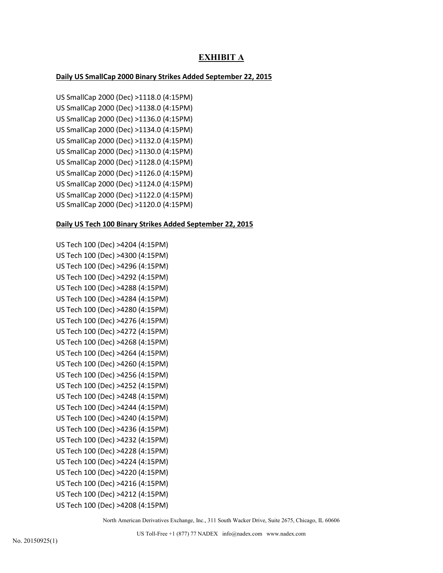# **EXHIBIT A**

# **Daily US SmallCap 2000 Binary Strikes Added September 22, 2015**

US SmallCap 2000 (Dec) >1118.0 (4:15PM) US SmallCap 2000 (Dec) >1138.0 (4:15PM) US SmallCap 2000 (Dec) >1136.0 (4:15PM) US SmallCap 2000 (Dec) >1134.0 (4:15PM) US SmallCap 2000 (Dec) >1132.0 (4:15PM) US SmallCap 2000 (Dec) >1130.0 (4:15PM) US SmallCap 2000 (Dec) >1128.0 (4:15PM) US SmallCap 2000 (Dec) >1126.0 (4:15PM) US SmallCap 2000 (Dec) >1124.0 (4:15PM) US SmallCap 2000 (Dec) >1122.0 (4:15PM) US SmallCap 2000 (Dec) >1120.0 (4:15PM)

## **Daily US Tech 100 Binary Strikes Added September 22, 2015**

```
US Tech 100 (Dec) >4204 (4:15PM)
US Tech 100 (Dec) >4300 (4:15PM)
US Tech 100 (Dec) >4296 (4:15PM)
US Tech 100 (Dec) >4292 (4:15PM)
US Tech 100 (Dec) >4288 (4:15PM)
US Tech 100 (Dec) >4284 (4:15PM)
US Tech 100 (Dec) >4280 (4:15PM)
US Tech 100 (Dec) >4276 (4:15PM)
US Tech 100 (Dec) >4272 (4:15PM)
US Tech 100 (Dec) >4268 (4:15PM)
US Tech 100 (Dec) >4264 (4:15PM)
US Tech 100 (Dec) >4260 (4:15PM)
US Tech 100 (Dec) >4256 (4:15PM)
US Tech 100 (Dec) >4252 (4:15PM)
US Tech 100 (Dec) >4248 (4:15PM)
US Tech 100 (Dec) >4244 (4:15PM)
US Tech 100 (Dec) >4240 (4:15PM)
US Tech 100 (Dec) >4236 (4:15PM)
US Tech 100 (Dec) >4232 (4:15PM)
US Tech 100 (Dec) >4228 (4:15PM)
US Tech 100 (Dec) >4224 (4:15PM)
US Tech 100 (Dec) >4220 (4:15PM)
US Tech 100 (Dec) >4216 (4:15PM)
US Tech 100 (Dec) >4212 (4:15PM)
US Tech 100 (Dec) >4208 (4:15PM)
```
North American Derivatives Exchange, Inc., 311 South Wacker Drive, Suite 2675, Chicago, IL 60606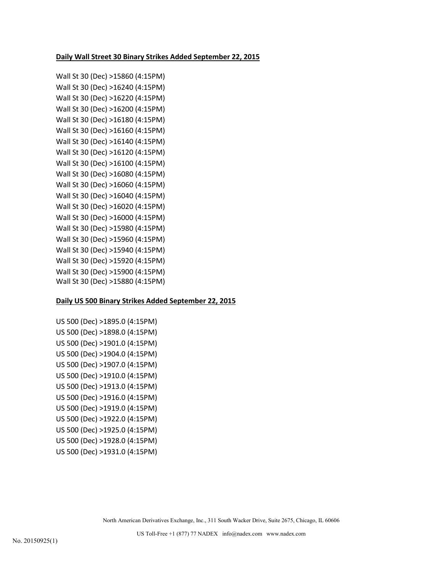#### **Daily Wall Street 30 Binary Strikes Added September 22, 2015**

Wall St 30 (Dec) >15860 (4:15PM) Wall St 30 (Dec) >16240 (4:15PM) Wall St 30 (Dec) >16220 (4:15PM) Wall St 30 (Dec) >16200 (4:15PM) Wall St 30 (Dec) >16180 (4:15PM) Wall St 30 (Dec) >16160 (4:15PM) Wall St 30 (Dec) >16140 (4:15PM) Wall St 30 (Dec) >16120 (4:15PM) Wall St 30 (Dec) >16100 (4:15PM) Wall St 30 (Dec) >16080 (4:15PM) Wall St 30 (Dec) >16060 (4:15PM) Wall St 30 (Dec) >16040 (4:15PM) Wall St 30 (Dec) >16020 (4:15PM) Wall St 30 (Dec) >16000 (4:15PM) Wall St 30 (Dec) >15980 (4:15PM) Wall St 30 (Dec) >15960 (4:15PM) Wall St 30 (Dec) >15940 (4:15PM) Wall St 30 (Dec) >15920 (4:15PM) Wall St 30 (Dec) >15900 (4:15PM) Wall St 30 (Dec) >15880 (4:15PM)

#### **Daily US 500 Binary Strikes Added September 22, 2015**

US 500 (Dec) >1895.0 (4:15PM) US 500 (Dec) >1898.0 (4:15PM) US 500 (Dec) >1901.0 (4:15PM) US 500 (Dec) >1904.0 (4:15PM) US 500 (Dec) >1907.0 (4:15PM) US 500 (Dec) >1910.0 (4:15PM) US 500 (Dec) >1913.0 (4:15PM) US 500 (Dec) >1916.0 (4:15PM) US 500 (Dec) >1919.0 (4:15PM) US 500 (Dec) >1922.0 (4:15PM) US 500 (Dec) >1925.0 (4:15PM) US 500 (Dec) >1928.0 (4:15PM) US 500 (Dec) >1931.0 (4:15PM)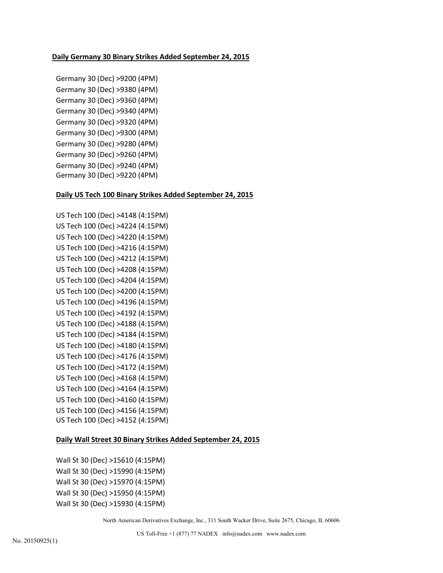#### **Daily Germany 30 Binary Strikes Added September 24, 2015**

Germany 30 (Dec) >9200 (4PM) Germany 30 (Dec) >9380 (4PM) Germany 30 (Dec) >9360 (4PM) Germany 30 (Dec) >9340 (4PM) Germany 30 (Dec) >9320 (4PM) Germany 30 (Dec) >9300 (4PM) Germany 30 (Dec) >9280 (4PM) Germany 30 (Dec) >9260 (4PM) Germany 30 (Dec) >9240 (4PM) Germany 30 (Dec) >9220 (4PM)

## **Daily US Tech 100 Binary Strikes Added September 24, 2015**

```
US Tech 100 (Dec) >4148 (4:15PM)
US Tech 100 (Dec) >4224 (4:15PM)
US Tech 100 (Dec) >4220 (4:15PM)
US Tech 100 (Dec) >4216 (4:15PM)
US Tech 100 (Dec) >4212 (4:15PM)
US Tech 100 (Dec) >4208 (4:15PM)
US Tech 100 (Dec) >4204 (4:15PM)
US Tech 100 (Dec) >4200 (4:15PM)
US Tech 100 (Dec) >4196 (4:15PM)
US Tech 100 (Dec) >4192 (4:15PM)
US Tech 100 (Dec) >4188 (4:15PM)
US Tech 100 (Dec) >4184 (4:15PM)
US Tech 100 (Dec) >4180 (4:15PM)
US Tech 100 (Dec) >4176 (4:15PM)
US Tech 100 (Dec) >4172 (4:15PM)
US Tech 100 (Dec) >4168 (4:15PM)
US Tech 100 (Dec) >4164 (4:15PM)
US Tech 100 (Dec) >4160 (4:15PM)
US Tech 100 (Dec) >4156 (4:15PM)
US Tech 100 (Dec) >4152 (4:15PM)
```
#### **Daily Wall Street 30 Binary Strikes Added September 24, 2015**

Wall St 30 (Dec) >15610 (4:15PM) Wall St 30 (Dec) >15990 (4:15PM) Wall St 30 (Dec) >15970 (4:15PM) Wall St 30 (Dec) >15950 (4:15PM) Wall St 30 (Dec) >15930 (4:15PM)

North American Derivatives Exchange, Inc., 311 South Wacker Drive, Suite 2675, Chicago, IL 60606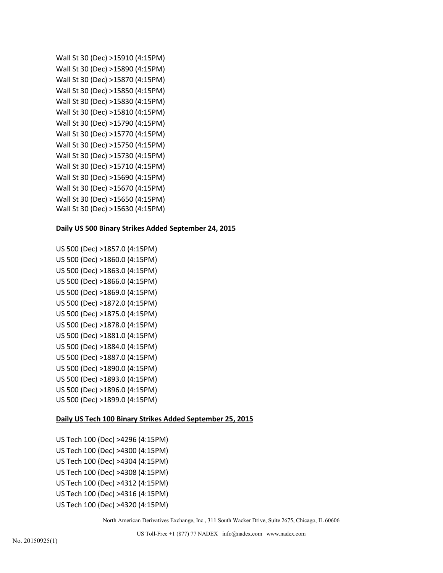```
Wall St 30 (Dec) >15910 (4:15PM)
Wall St 30 (Dec) >15890 (4:15PM)
Wall St 30 (Dec) >15870 (4:15PM)
Wall St 30 (Dec) >15850 (4:15PM)
Wall St 30 (Dec) >15830 (4:15PM)
Wall St 30 (Dec) >15810 (4:15PM)
Wall St 30 (Dec) >15790 (4:15PM)
Wall St 30 (Dec) >15770 (4:15PM)
Wall St 30 (Dec) >15750 (4:15PM)
Wall St 30 (Dec) >15730 (4:15PM)
Wall St 30 (Dec) >15710 (4:15PM)
Wall St 30 (Dec) >15690 (4:15PM)
Wall St 30 (Dec) >15670 (4:15PM)
Wall St 30 (Dec) >15650 (4:15PM)
Wall St 30 (Dec) >15630 (4:15PM)
```
# **Daily US 500 Binary Strikes Added September 24, 2015**

US 500 (Dec) >1857.0 (4:15PM) US 500 (Dec) >1860.0 (4:15PM) US 500 (Dec) >1863.0 (4:15PM) US 500 (Dec) >1866.0 (4:15PM) US 500 (Dec) >1869.0 (4:15PM) US 500 (Dec) >1872.0 (4:15PM) US 500 (Dec) >1875.0 (4:15PM) US 500 (Dec) >1878.0 (4:15PM) US 500 (Dec) >1881.0 (4:15PM) US 500 (Dec) >1884.0 (4:15PM) US 500 (Dec) >1887.0 (4:15PM) US 500 (Dec) >1890.0 (4:15PM) US 500 (Dec) >1893.0 (4:15PM) US 500 (Dec) >1896.0 (4:15PM) US 500 (Dec) >1899.0 (4:15PM)

## **Daily US Tech 100 Binary Strikes Added September 25, 2015**

US Tech 100 (Dec) >4296 (4:15PM) US Tech 100 (Dec) >4300 (4:15PM) US Tech 100 (Dec) >4304 (4:15PM) US Tech 100 (Dec) >4308 (4:15PM) US Tech 100 (Dec) >4312 (4:15PM) US Tech 100 (Dec) >4316 (4:15PM) US Tech 100 (Dec) >4320 (4:15PM)

North American Derivatives Exchange, Inc., 311 South Wacker Drive, Suite 2675, Chicago, IL 60606